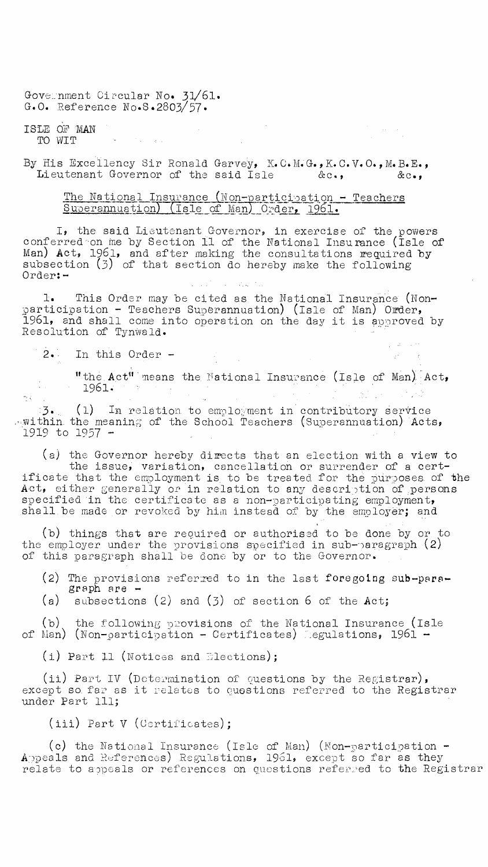Government Circular No. 31/61. G.O. Reference No.S.2803/57.

 $\mathcal{F}_{\mathcal{A}}$  , and

ISLE OF 'MAN TO WIT

 $\frac{1}{2} \left( \frac{1}{2} \right) \left( \frac{1}{2} \right) \left( \frac{1}{2} \right)$ 

By His Excellency Sir Ronald Garvey, K.C.M.G., K.C.V.O., M.B.E., Lieutenant Governor of the said Isle  $\&c_{\bullet}$ ,  $\&c_{\bullet}$ 

## <u>The National Insurance (Non-participation - Teachers</u><br>Superannuation) (Isle of Man) Order, 1961.

I, the said Lieutenant Governor, in exercise of the powers conferred on me by Section 11 of the National Insurance (Isle of Man) Act, 1961, and after making the consultations required by subsection (3) of that section do hereby make the following Order:-  $\mathcal{L}_{\text{cav}}$  ,  $\mathcal{L}_{\text{cav}}$ 

This Order may be cited as the National Insurance (Nonparticipation - Teachers Superannuation) (Isle of Man) Order, 1961, and shall come into operation on the day it is approved by Resolution of Tynwald.

2.. In this Order -

re c

"the Act" means the National Insurance (Isle of Man) Act, <sup>1961</sup>.  $\mathcal{L} = \mathcal{L} \times \mathcal{L}$ 

3.\_ (1) In relation to employment in contributory service within the meaning of the School Teachers (Superannuation) Acts, 1919 to 1957 -

(a) the Governor hereby directs that an election with a view to the issue, variation, cancellation or surrender of a certificate that the employment is, to be treated for the purposes. of the Act, either generally or in relation to any description of persons specified in the certificate as a non-participating employment, shall be made or revoked by him instead of by the employer; and

(b) things that are required or authorised to be done by or to the employer under the provisions specified in sub-paragraph  $(2)$ of this paragraph shall be done by or to the Governor.

- (2) The provisions referred to in the last foregoing  $sub-para$ graph are -
- (a) subsections (2) and (3) of section 6 of the Act;

(b) the following provisions of the National Insurance (Isle of Man) (Non-participation - Certificates) egulations,  $1961 -$ 

 $(i)$  Part 11 (Notices and Elections);

(ii) Part IV (Determination of questions by the Registrar), except so far as it relates to questions referred to the Registrar under Part 111;

(iii) Part V (Certificates);

(c) the National Insurance (Isle of Man) (Non-participation - Appeals and References) Regulations, 1961, except so far as they  $\,$ relate to appeals or references on questions referred to the Registrar